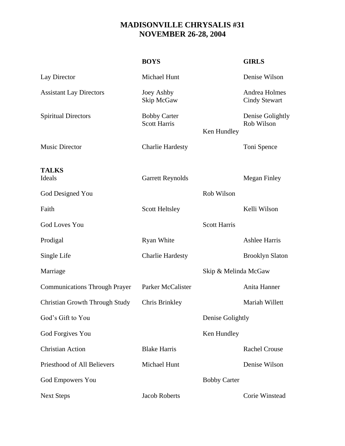## **MADISONVILLE CHRYSALIS #31 NOVEMBER 26-28, 2004**

|                                       | <b>BOYS</b>                                |                      | <b>GIRLS</b>                          |
|---------------------------------------|--------------------------------------------|----------------------|---------------------------------------|
| Lay Director                          | Michael Hunt                               |                      | Denise Wilson                         |
| <b>Assistant Lay Directors</b>        | Joey Ashby<br>Skip McGaw                   |                      | Andrea Holmes<br><b>Cindy Stewart</b> |
| <b>Spiritual Directors</b>            | <b>Bobby Carter</b><br><b>Scott Harris</b> | Ken Hundley          | Denise Golightly<br>Rob Wilson        |
| <b>Music Director</b>                 | <b>Charlie Hardesty</b>                    |                      | Toni Spence                           |
| <b>TALKS</b><br>Ideals                | <b>Garrett Reynolds</b>                    |                      | <b>Megan Finley</b>                   |
| God Designed You                      |                                            | Rob Wilson           |                                       |
| Faith                                 | <b>Scott Heltsley</b>                      |                      | Kelli Wilson                          |
| <b>God Loves You</b>                  |                                            | <b>Scott Harris</b>  |                                       |
| Prodigal                              | <b>Ryan White</b>                          |                      | <b>Ashlee Harris</b>                  |
| Single Life                           | <b>Charlie Hardesty</b>                    |                      | <b>Brooklyn Slaton</b>                |
| Marriage                              |                                            | Skip & Melinda McGaw |                                       |
| <b>Communications Through Prayer</b>  | Parker McCalister                          |                      | Anita Hanner                          |
| <b>Christian Growth Through Study</b> | Chris Brinkley                             |                      | Mariah Willett                        |
| God's Gift to You                     |                                            | Denise Golightly     |                                       |
| God Forgives You                      |                                            | Ken Hundley          |                                       |
| <b>Christian Action</b>               | <b>Blake Harris</b>                        |                      | <b>Rachel Crouse</b>                  |
| Priesthood of All Believers           | Michael Hunt                               |                      | Denise Wilson                         |
| <b>God Empowers You</b>               |                                            | <b>Bobby Carter</b>  |                                       |
| <b>Next Steps</b>                     | <b>Jacob Roberts</b>                       |                      | Corie Winstead                        |